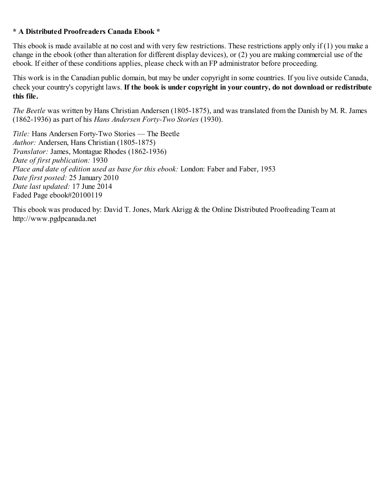## **\* A Distributed Proofreaders Canada Ebook \***

This ebook is made available at no cost and with very few restrictions. These restrictions apply only if (1) you make a change in the ebook (other than alteration for different display devices), or (2) you are making commercial use of the ebook. If either of these conditions applies, please check with an FP administrator before proceeding.

This work is in the Canadian public domain, but may be under copyright in some countries. If you live outside Canada, check your country's copyright laws. **If the book is under copyright in your country, do not download or redistribute this file.**

*The Beetle* was written by Hans Christian Andersen (1805-1875), and was translated from the Danish by M. R. James (1862-1936) as part of his *Hans Andersen Forty-Two Stories* (1930).

*Title:* Hans Andersen Forty-Two Stories — The Beetle *Author:* Andersen, Hans Christian (1805-1875) *Translator:* James, Montague Rhodes (1862-1936) *Date of first publication:* 1930 *Place and date of edition used as base for this ebook:* London: Faber and Faber, 1953 *Date first posted:* 25 January 2010 *Date last updated:* 17 June 2014 Faded Page ebook#20100119

This ebook was produced by: David T. Jones, Mark Akrigg & the Online Distributed Proofreading Team at http://www.pgdpcanada.net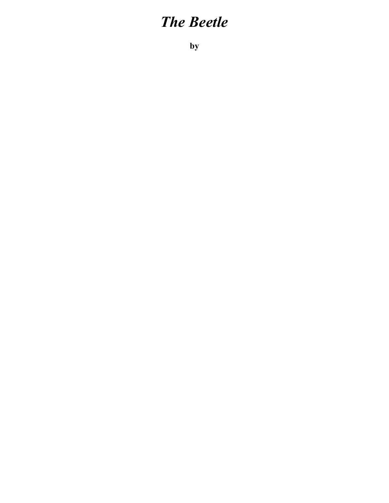## *The Beetle*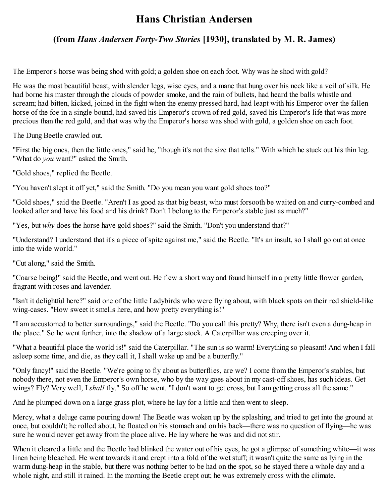## **Hans Christian Andersen**

## **(from** *Hans Andersen Forty-Two Stories* **[1930], translated by M. R. James)**

The Emperor's horse was being shod with gold; a golden shoe on each foot. Why was he shod with gold?

He was the most beautiful beast, with slender legs, wise eyes, and a mane that hung over his neck like a veil of silk. He had borne his master through the clouds of powder smoke, and the rain of bullets, had heard the balls whistle and scream; had bitten, kicked, joined in the fight when the enemy pressed hard, had leapt with his Emperor over the fallen horse of the foe in a single bound, had saved his Emperor's crown of red gold, saved his Emperor's life that was more precious than the red gold, and that was why the Emperor's horse was shod with gold, a golden shoe on each foot.

The Dung Beetle crawled out.

"First the big ones, then the little ones," said he, "though it's not the size that tells." With which he stuck out his thin leg. "What do *you* want?" asked the Smith.

"Gold shoes," replied the Beetle.

"You haven't slept it off yet," said the Smith. "Do you mean you want gold shoes too?"

"Gold shoes," said the Beetle. "Aren't I as good as that big beast, who must forsooth be waited on and curry-combed and looked after and have his food and his drink? Don't I belong to the Emperor's stable just as much?"

"Yes, but *why* does the horse have gold shoes?" said the Smith. "Don't you understand that?"

"Understand? I understand that it's a piece of spite against me," said the Beetle. "It's an insult, so I shall go out at once into the wide world."

"Cut along," said the Smith.

"Coarse being!" said the Beetle, and went out. He flew a short way and found himself in a pretty little flower garden, fragrant with roses and lavender.

"Isn't it delightful here?" said one of the little Ladybirds who were flying about, with black spots on their red shield-like wing-cases. "How sweet it smells here, and how pretty everything is!"

"I am accustomed to better surroundings," said the Beetle. "Do you call this pretty? Why, there isn't even a dung-heap in the place." So he went further, into the shadow of a large stock. A Caterpillar was creeping over it.

"What a beautiful place the world is!" said the Caterpillar. "The sun is so warm! Everything so pleasant! And when I fall asleep some time, and die, as they call it, I shall wake up and be a butterfly."

"Only fancy!" said the Beetle. "We're going to fly about as butterflies, are we? I come from the Emperor's stables, but nobody there, not even the Emperor's own horse, who by the way goes about in my cast-off shoes, has such ideas. Get wings? Fly? Very well, I *shall* fly." So off he went. "I don't want to get cross, but I am getting cross all the same."

And he plumped down on a large grass plot, where he lay for a little and then went to sleep.

Mercy, what a deluge came pouring down! The Beetle was woken up by the splashing, and tried to get into the ground at once, but couldn't; he rolled about, he floated on his stomach and on his back—there was no question of flying—he was sure he would never get away from the place alive. He lay where he was and did not stir.

When it cleared a little and the Beetle had blinked the water out of his eyes, he got a glimpse of something white—it was linen being bleached. He went towards it and crept into a fold of the wet stuff; it wasn't quite the same as lying in the warm dung-heap in the stable, but there was nothing better to be had on the spot, so he stayed there a whole day and a whole night, and still it rained. In the morning the Beetle crept out; he was extremely cross with the climate.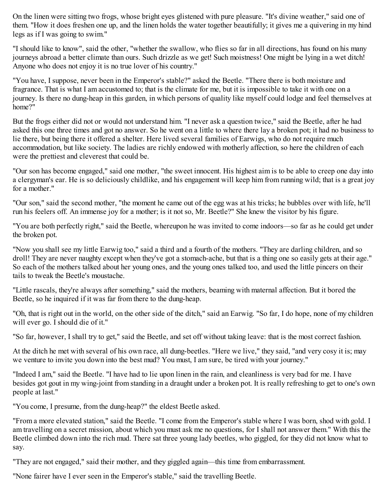On the linen were sitting two frogs, whose bright eyes glistened with pure pleasure. "It's divine weather," said one of them. "How it does freshen one up, and the linen holds the water together beautifully; it gives me a quivering in my hind legs as if I was going to swim."

"I should like to know", said the other, "whether the swallow, who flies so far in all directions, has found on his many journeys abroad a better climate than ours. Such drizzle as we get! Such moistness! One might be lying in a wet ditch! Anyone who does not enjoy it is no true lover of his country."

"You have, I suppose, never been in the Emperor's stable?" asked the Beetle. "There there is both moisture and fragrance. That is what I am accustomed to; that is the climate for me, but it is impossible to take it with one on a journey. Is there no dung-heap in this garden, in which persons of quality like myself could lodge and feel themselves at home?"

But the frogs either did not or would not understand him. "I never ask a question twice," said the Beetle, after he had asked this one three times and got no answer. So he went on a little to where there lay a broken pot; it had no business to lie there, but being there it offered a shelter. Here lived several families of Earwigs, who do not require much accommodation, but like society. The ladies are richly endowed with motherly affection, so here the children of each were the prettiest and cleverest that could be.

"Our son has become engaged," said one mother, "the sweet innocent. His highest aim is to be able to creep one day into a clergyman's ear. He is so deliciously childlike, and his engagement will keep him from running wild; that is a great joy for a mother."

"Our son," said the second mother, "the moment he came out of the egg was at his tricks; he bubbles over with life, he'll run his feelers off. An immense joy for a mother; is it not so, Mr. Beetle?" She knew the visitor by his figure.

"You are both perfectly right," said the Beetle, whereupon he was invited to come indoors—so far as he could get under the broken pot.

"Now you shall see my little Earwig too," said a third and a fourth of the mothers. "They are darling children, and so droll! They are never naughty except when they've got a stomach-ache, but that is a thing one so easily gets at their age." So each of the mothers talked about her young ones, and the young ones talked too, and used the little pincers on their tails to tweak the Beetle's moustache.

"Little rascals, they're always after something," said the mothers, beaming with maternal affection. But it bored the Beetle, so he inquired if it was far from there to the dung-heap.

"Oh, that is right out in the world, on the other side of the ditch," said an Earwig. "So far, I do hope, none of my children will ever go. I should die of it."

"So far, however, I shall try to get," said the Beetle, and set off without taking leave: that is the most correct fashion.

At the ditch he met with several of his own race, all dung-beetles. "Here we live," they said, "and very cosy it is; may we venture to invite you down into the best mud? You must, I am sure, be tired with your journey."

"Indeed I am," said the Beetle. "I have had to lie upon linen in the rain, and cleanliness is very bad for me. I have besides got gout in my wing-joint from standing in a draught under a broken pot. It is really refreshing to get to one's own people at last."

"You come, I presume, from the dung-heap?" the eldest Beetle asked.

"From a more elevated station," said the Beetle. "I come from the Emperor's stable where I was born, shod with gold. I am travelling on a secret mission, about which you must ask me no questions, for I shall not answer them." With this the Beetle climbed down into the rich mud. There sat three young lady beetles, who giggled, for they did not know what to say.

"They are not engaged," said their mother, and they giggled again—this time from embarrassment.

"None fairer have I ever seen in the Emperor's stable," said the travelling Beetle.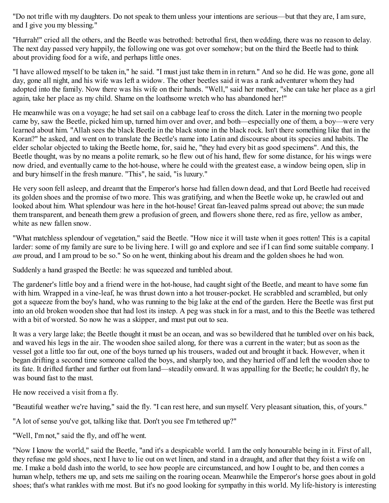"Do not trifle with my daughters. Do not speak to them unless your intentions are serious—but that they are, I am sure, and I give you my blessing."

"Hurrah!" cried all the others, and the Beetle was betrothed: betrothal first, then wedding, there was no reason to delay. The next day passed very happily, the following one was got over somehow; but on the third the Beetle had to think about providing food for a wife, and perhaps little ones.

"I have allowed myself to be taken in," he said. "I must just take them in in return." And so he did. He was gone, gone all day, gone all night, and his wife was left a widow. The other beetles said it was a rank adventurer whom they had adopted into the family. Now there was his wife on their hands. "Well," said her mother, "she can take her place as a girl again, take her place as my child. Shame on the loathsome wretch who has abandoned her!"

He meanwhile was on a voyage; he had set sail on a cabbage leaf to cross the ditch. Later in the morning two people came by, saw the Beetle, picked him up, turned him over and over, and both—especially one of them, a boy—were very learned about him. "Allah sees the black Beetle in the black stone in the black rock. Isn't there something like that in the Koran?" he asked, and went on to translate the Beetle's name into Latin and discourse about its species and habits. The elder scholar objected to taking the Beetle home, for, said he, "they had every bit as good specimens". And this, the Beetle thought, was by no means a polite remark, so he flew out of his hand, flew for some distance, for his wings were now dried, and eventually came to the hot-house, where he could with the greatest ease, a window being open, slip in and bury himself in the fresh manure. "This", he said, "is luxury."

He very soon fell asleep, and dreamt that the Emperor's horse had fallen down dead, and that Lord Beetle had received its golden shoes and the promise of two more. This was gratifying, and when the Beetle woke up, he crawled out and looked about him. What splendour was here in the hot-house! Great fan-leaved palms spread out above; the sun made them transparent, and beneath them grew a profusion of green, and flowers shone there, red as fire, yellow as amber, white as new fallen snow.

"What matchless splendour of vegetation," said the Beetle. "How nice it will taste when it goes rotten! This is a capital larder: some of my family are sure to be living here. I will go and explore and see if I can find some suitable company. I *am* proud, and I am proud to be so." So on he went, thinking about his dream and the golden shoes he had won.

Suddenly a hand grasped the Beetle: he was squeezed and tumbled about.

The gardener's little boy and a friend were in the hot-house, had caught sight of the Beetle, and meant to have some fun with him. Wrapped in a vine-leaf, he was thrust down into a hot trouser-pocket. He scrabbled and scrambled, but only got a squeeze from the boy's hand, who was running to the big lake at the end of the garden. Here the Beetle was first put into an old broken wooden shoe that had lost its instep. A peg was stuck in for a mast, and to this the Beetle was tethered with a bit of worsted. So now he was a skipper, and must put out to sea.

It was a very large lake; the Beetle thought it must be an ocean, and was so bewildered that he tumbled over on his back, and waved his legs in the air. The wooden shoe sailed along, for there was a current in the water; but as soon as the vessel got a little too far out, one of the boys turned up his trousers, waded out and brought it back. However, when it began drifting a second time someone called the boys, and sharply too, and they hurried off and left the wooden shoe to its fate. It drifted further and further out from land—steadily onward. It was appalling for the Beetle; he couldn't fly, he was bound fast to the mast.

He now received a visit from a fly.

"Beautiful weather we're having," said the fly. "I can rest here, and sun myself. Very pleasant situation, this, of yours."

"A lot of sense you've got, talking like that. Don't you see I'm tethered up?"

"Well, I'm not," said the fly, and off he went.

"Now I know the world," said the Beetle, "and it's a despicable world. I am the only honourable being in it. First of all, they refuse me gold shoes, next I have to lie out on wet linen, and stand in a draught, and after that they foist a wife on me. I make a bold dash into the world, to see how people are circumstanced, and how I ought to be, and then comes a human whelp, tethers me up, and sets me sailing on the roaring ocean. Meanwhile the Emperor's horse goes about in gold shoes; that's what rankles with me most. But it's no good looking for sympathy in this world. My life-history is interesting